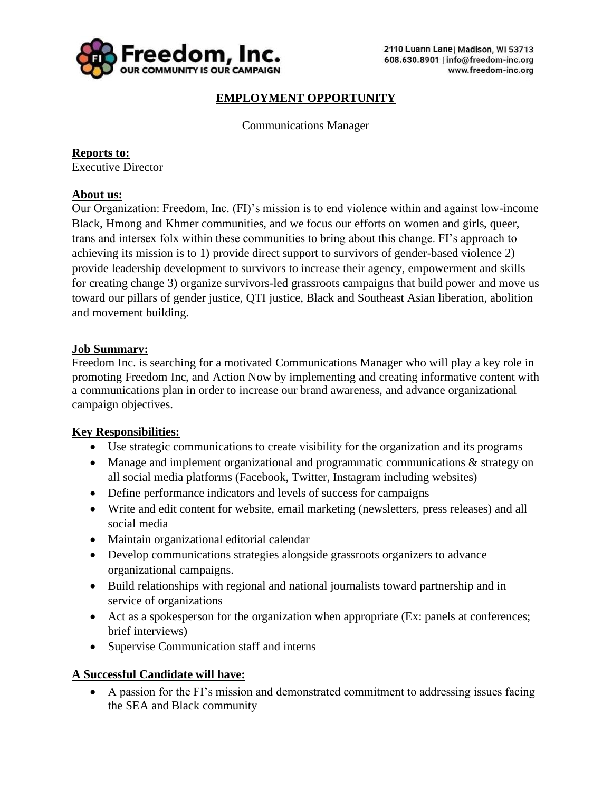

# **EMPLOYMENT OPPORTUNITY**

Communications Manager

**Reports to:** Executive Director

## **About us:**

Our Organization: Freedom, Inc. (FI)'s mission is to end violence within and against low-income Black, Hmong and Khmer communities, and we focus our efforts on women and girls, queer, trans and intersex folx within these communities to bring about this change. FI's approach to achieving its mission is to 1) provide direct support to survivors of gender-based violence 2) provide leadership development to survivors to increase their agency, empowerment and skills for creating change 3) organize survivors-led grassroots campaigns that build power and move us toward our pillars of gender justice, QTI justice, Black and Southeast Asian liberation, abolition and movement building.

## **Job Summary:**

Freedom Inc. is searching for a motivated Communications Manager who will play a key role in promoting Freedom Inc, and Action Now by implementing and creating informative content with a communications plan in order to increase our brand awareness, and advance organizational campaign objectives.

## **Key Responsibilities:**

- Use strategic communications to create visibility for the organization and its programs
- Manage and implement organizational and programmatic communications & strategy on all social media platforms (Facebook, Twitter, Instagram including websites)
- Define performance indicators and levels of success for campaigns
- Write and edit content for website, email marketing (newsletters, press releases) and all social media
- Maintain organizational editorial calendar
- Develop communications strategies alongside grassroots organizers to advance organizational campaigns.
- Build relationships with regional and national journalists toward partnership and in service of organizations
- Act as a spokesperson for the organization when appropriate (Ex: panels at conferences; brief interviews)
- Supervise Communication staff and interns

## **A Successful Candidate will have:**

• A passion for the FI's mission and demonstrated commitment to addressing issues facing the SEA and Black community